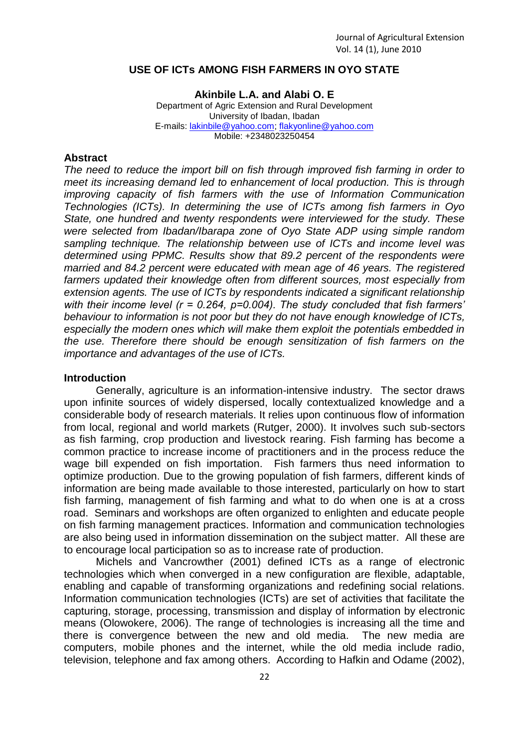### **USE OF ICTs AMONG FISH FARMERS IN OYO STATE**

**Akinbile L.A. and Alabi O. E** Department of Agric Extension and Rural Development University of Ibadan, Ibadan E-mails: [lakinbile@yahoo.com;](mailto:lakinbile@yahoo.com) [flakyonline@yahoo.com](mailto:flakyonline@yahoo.com) Mobile: +2348023250454

#### **Abstract**

*The need to reduce the import bill on fish through improved fish farming in order to meet its increasing demand led to enhancement of local production. This is through improving capacity of fish farmers with the use of Information Communication Technologies (ICTs). In determining the use of ICTs among fish farmers in Oyo State, one hundred and twenty respondents were interviewed for the study. These were selected from Ibadan/Ibarapa zone of Oyo State ADP using simple random sampling technique. The relationship between use of ICTs and income level was determined using PPMC. Results show that 89.2 percent of the respondents were married and 84.2 percent were educated with mean age of 46 years. The registered farmers updated their knowledge often from different sources, most especially from extension agents. The use of ICTs by respondents indicated a significant relationship with their income level (r = 0.264, p=0.004). The study concluded that fish farmers' behaviour to information is not poor but they do not have enough knowledge of ICTs, especially the modern ones which will make them exploit the potentials embedded in the use. Therefore there should be enough sensitization of fish farmers on the importance and advantages of the use of ICTs.* 

### **Introduction**

Generally, agriculture is an information-intensive industry. The sector draws upon infinite sources of widely dispersed, locally contextualized knowledge and a considerable body of research materials. It relies upon continuous flow of information from local, regional and world markets (Rutger, 2000). It involves such sub-sectors as fish farming, crop production and livestock rearing. Fish farming has become a common practice to increase income of practitioners and in the process reduce the wage bill expended on fish importation. Fish farmers thus need information to optimize production. Due to the growing population of fish farmers, different kinds of information are being made available to those interested, particularly on how to start fish farming, management of fish farming and what to do when one is at a cross road. Seminars and workshops are often organized to enlighten and educate people on fish farming management practices. Information and communication technologies are also being used in information dissemination on the subject matter. All these are to encourage local participation so as to increase rate of production.

Michels and Vancrowther (2001) defined ICTs as a range of electronic technologies which when converged in a new configuration are flexible, adaptable, enabling and capable of transforming organizations and redefining social relations. Information communication technologies (ICTs) are set of activities that facilitate the capturing, storage, processing, transmission and display of information by electronic means (Olowokere, 2006). The range of technologies is increasing all the time and there is convergence between the new and old media. The new media are computers, mobile phones and the internet, while the old media include radio, television, telephone and fax among others. According to Hafkin and Odame (2002),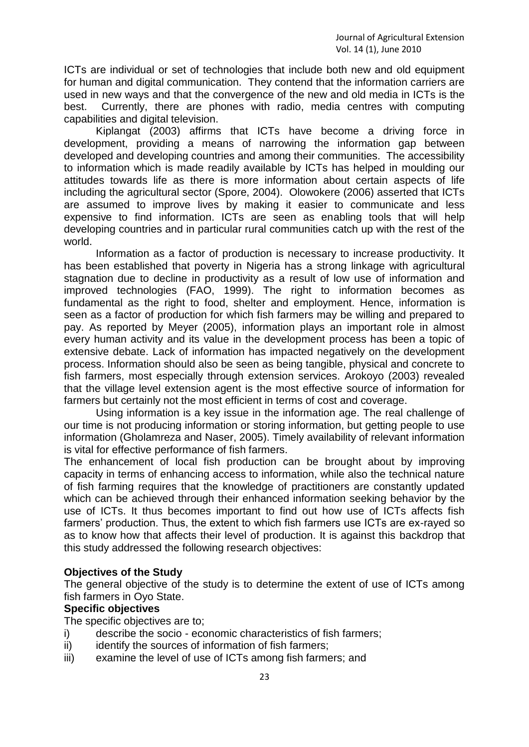ICTs are individual or set of technologies that include both new and old equipment for human and digital communication. They contend that the information carriers are used in new ways and that the convergence of the new and old media in ICTs is the best. Currently, there are phones with radio, media centres with computing capabilities and digital television.

Kiplangat (2003) affirms that ICTs have become a driving force in development, providing a means of narrowing the information gap between developed and developing countries and among their communities. The accessibility to information which is made readily available by ICTs has helped in moulding our attitudes towards life as there is more information about certain aspects of life including the agricultural sector (Spore, 2004). Olowokere (2006) asserted that ICTs are assumed to improve lives by making it easier to communicate and less expensive to find information. ICTs are seen as enabling tools that will help developing countries and in particular rural communities catch up with the rest of the world.

Information as a factor of production is necessary to increase productivity. It has been established that poverty in Nigeria has a strong linkage with agricultural stagnation due to decline in productivity as a result of low use of information and improved technologies (FAO, 1999). The right to information becomes as fundamental as the right to food, shelter and employment. Hence, information is seen as a factor of production for which fish farmers may be willing and prepared to pay. As reported by Meyer (2005), information plays an important role in almost every human activity and its value in the development process has been a topic of extensive debate. Lack of information has impacted negatively on the development process. Information should also be seen as being tangible, physical and concrete to fish farmers, most especially through extension services. Arokoyo (2003) revealed that the village level extension agent is the most effective source of information for farmers but certainly not the most efficient in terms of cost and coverage.

Using information is a key issue in the information age. The real challenge of our time is not producing information or storing information, but getting people to use information (Gholamreza and Naser, 2005). Timely availability of relevant information is vital for effective performance of fish farmers.

The enhancement of local fish production can be brought about by improving capacity in terms of enhancing access to information, while also the technical nature of fish farming requires that the knowledge of practitioners are constantly updated which can be achieved through their enhanced information seeking behavior by the use of ICTs. It thus becomes important to find out how use of ICTs affects fish farmers' production. Thus, the extent to which fish farmers use ICTs are ex-rayed so as to know how that affects their level of production. It is against this backdrop that this study addressed the following research objectives:

# **Objectives of the Study**

The general objective of the study is to determine the extent of use of ICTs among fish farmers in Oyo State.

# **Specific objectives**

The specific objectives are to;

- i) describe the socio economic characteristics of fish farmers;
- ii) identify the sources of information of fish farmers;
- iii) examine the level of use of ICTs among fish farmers; and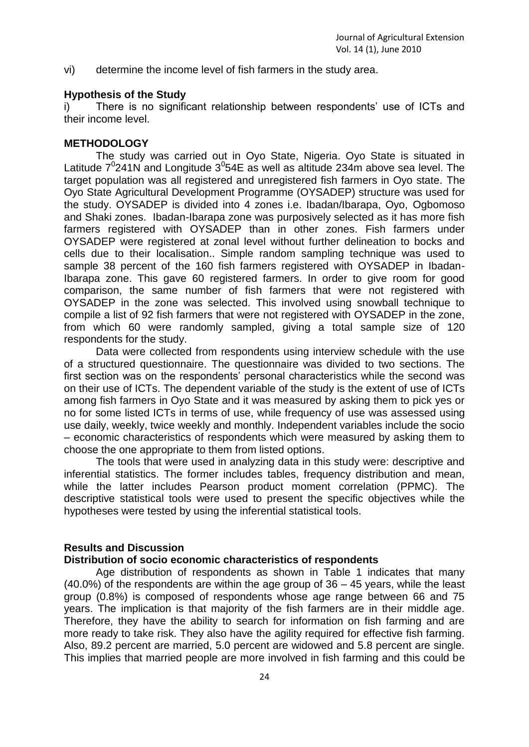vi) determine the income level of fish farmers in the study area.

### **Hypothesis of the Study**

i) There is no significant relationship between respondents' use of ICTs and their income level.

### **METHODOLOGY**

The study was carried out in Oyo State, Nigeria. Oyo State is situated in Latitude  $7^0$ 241N and Longitude  $3^0$ 54E as well as altitude 234m above sea level. The target population was all registered and unregistered fish farmers in Oyo state. The Oyo State Agricultural Development Programme (OYSADEP) structure was used for the study. OYSADEP is divided into 4 zones i.e. Ibadan/Ibarapa, Oyo, Ogbomoso and Shaki zones. Ibadan-Ibarapa zone was purposively selected as it has more fish farmers registered with OYSADEP than in other zones. Fish farmers under OYSADEP were registered at zonal level without further delineation to bocks and cells due to their localisation.. Simple random sampling technique was used to sample 38 percent of the 160 fish farmers registered with OYSADEP in Ibadan-Ibarapa zone. This gave 60 registered farmers. In order to give room for good comparison, the same number of fish farmers that were not registered with OYSADEP in the zone was selected. This involved using snowball technique to compile a list of 92 fish farmers that were not registered with OYSADEP in the zone, from which 60 were randomly sampled, giving a total sample size of 120 respondents for the study.

Data were collected from respondents using interview schedule with the use of a structured questionnaire. The questionnaire was divided to two sections. The first section was on the respondents' personal characteristics while the second was on their use of ICTs. The dependent variable of the study is the extent of use of ICTs among fish farmers in Oyo State and it was measured by asking them to pick yes or no for some listed ICTs in terms of use, while frequency of use was assessed using use daily, weekly, twice weekly and monthly. Independent variables include the socio – economic characteristics of respondents which were measured by asking them to choose the one appropriate to them from listed options.

The tools that were used in analyzing data in this study were: descriptive and inferential statistics. The former includes tables, frequency distribution and mean, while the latter includes Pearson product moment correlation (PPMC). The descriptive statistical tools were used to present the specific objectives while the hypotheses were tested by using the inferential statistical tools.

# **Results and Discussion**

# **Distribution of socio economic characteristics of respondents**

Age distribution of respondents as shown in Table 1 indicates that many (40.0%) of the respondents are within the age group of 36 – 45 years, while the least group (0.8%) is composed of respondents whose age range between 66 and 75 years. The implication is that majority of the fish farmers are in their middle age. Therefore, they have the ability to search for information on fish farming and are more ready to take risk. They also have the agility required for effective fish farming. Also, 89.2 percent are married, 5.0 percent are widowed and 5.8 percent are single. This implies that married people are more involved in fish farming and this could be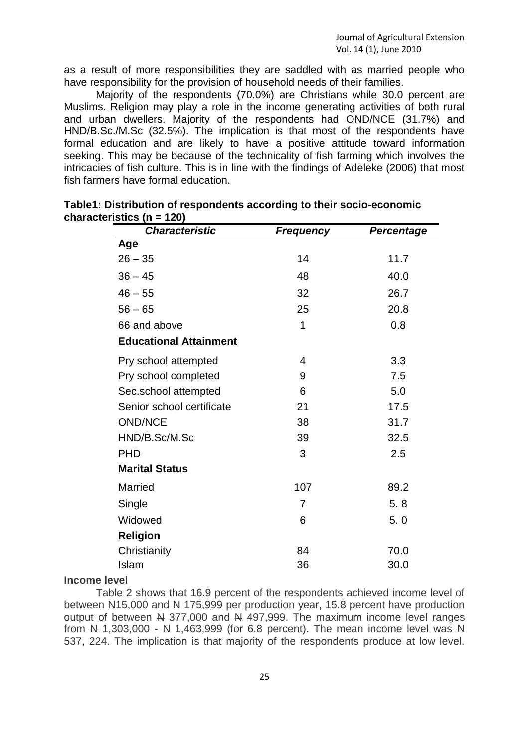as a result of more responsibilities they are saddled with as married people who have responsibility for the provision of household needs of their families.

Majority of the respondents (70.0%) are Christians while 30.0 percent are Muslims. Religion may play a role in the income generating activities of both rural and urban dwellers. Majority of the respondents had OND/NCE (31.7%) and HND/B.Sc./M.Sc (32.5%). The implication is that most of the respondents have formal education and are likely to have a positive attitude toward information seeking. This may be because of the technicality of fish farming which involves the intricacies of fish culture. This is in line with the findings of Adeleke (2006) that most fish farmers have formal education.

| <b>Characteristic</b>         | <b>Frequency</b> | <b>Percentage</b> |
|-------------------------------|------------------|-------------------|
| Age                           |                  |                   |
| $26 - 35$                     | 14               | 11.7              |
| $36 - 45$                     | 48               | 40.0              |
| $46 - 55$                     | 32               | 26.7              |
| $56 - 65$                     | 25               | 20.8              |
| 66 and above                  | 1                | 0.8               |
| <b>Educational Attainment</b> |                  |                   |
| Pry school attempted          | 4                | 3.3               |
| Pry school completed          | 9                | 7.5               |
| Sec.school attempted          | 6                | 5.0               |
| Senior school certificate     | 21               | 17.5              |
| <b>OND/NCE</b>                | 38               | 31.7              |
| HND/B.Sc/M.Sc                 | 39               | 32.5              |
| <b>PHD</b>                    | 3                | 2.5               |
| <b>Marital Status</b>         |                  |                   |
| <b>Married</b>                | 107              | 89.2              |
| Single                        | $\overline{7}$   | 5.8               |
| Widowed                       | 6                | 5.0               |
| <b>Religion</b>               |                  |                   |
| Christianity                  | 84               | 70.0              |
| Islam                         | 36               | 30.0              |

| Table1: Distribution of respondents according to their socio-economic |  |
|-----------------------------------------------------------------------|--|
| characteristics ( $n = 120$ )                                         |  |

#### **Income level**

Table 2 shows that 16.9 percent of the respondents achieved income level of between N15,000 and N 175,999 per production year, 15.8 percent have production output of between N 377,000 and N 497,999. The maximum income level ranges from  $N$  1,303,000 -  $N$  1,463,999 (for 6.8 percent). The mean income level was  $N$ 537, 224. The implication is that majority of the respondents produce at low level.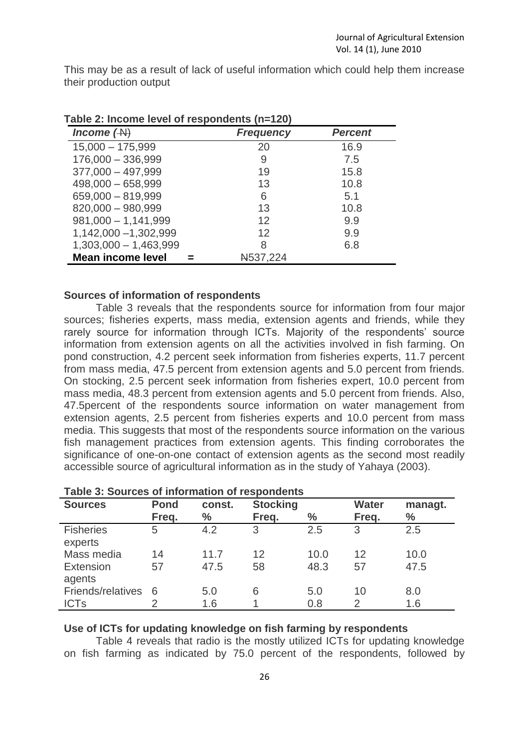This may be as a result of lack of useful information which could help them increase their production output

| ably 2. modific level of respondence (i.e. $(20)$<br>Income $($ A $)$ | <b>Frequency</b> | <b>Percent</b> |
|-----------------------------------------------------------------------|------------------|----------------|
| $15,000 - 175,999$                                                    | 20               | 16.9           |
| $176,000 - 336,999$                                                   | 9                | 7.5            |
| $377,000 - 497,999$                                                   | 19               | 15.8           |
| $498,000 - 658,999$                                                   | 13               | 10.8           |
| 659,000 - 819,999                                                     | 6                | 5.1            |
| 820,000 - 980,999                                                     | 13               | 10.8           |
| $981,000 - 1,141,999$                                                 | 12               | 9.9            |
| 1,142,000 - 1,302,999                                                 | 12               | 9.9            |
| $1,303,000 - 1,463,999$                                               | 8                | 6.8            |
| <b>Mean income level</b>                                              | N537,224         |                |

**Table 2: Income level of respondents (n=120)**

### **Sources of information of respondents**

Table 3 reveals that the respondents source for information from four major sources; fisheries experts, mass media, extension agents and friends, while they rarely source for information through ICTs. Majority of the respondents' source information from extension agents on all the activities involved in fish farming. On pond construction, 4.2 percent seek information from fisheries experts, 11.7 percent from mass media, 47.5 percent from extension agents and 5.0 percent from friends. On stocking, 2.5 percent seek information from fisheries expert, 10.0 percent from mass media, 48.3 percent from extension agents and 5.0 percent from friends. Also, 47.5percent of the respondents source information on water management from extension agents, 2.5 percent from fisheries experts and 10.0 percent from mass media. This suggests that most of the respondents source information on the various fish management practices from extension agents. This finding corroborates the significance of one-on-one contact of extension agents as the second most readily accessible source of agricultural information as in the study of Yahaya (2003).

| <b>Sources</b>              | <b>Pond</b><br>Freq. | const.<br>$\%$ | <b>Stocking</b><br>Freq. | $\%$ | <b>Water</b><br>Freq. | managt.<br>$\frac{0}{0}$ |
|-----------------------------|----------------------|----------------|--------------------------|------|-----------------------|--------------------------|
| <b>Fisheries</b><br>experts | 5                    | 4.2            | 3                        | 2.5  | 3                     | 2.5                      |
| Mass media                  | 14                   | 11.7           | 12                       | 10.0 | 12                    | 10.0                     |
| Extension<br>agents         | 57                   | 47.5           | 58                       | 48.3 | 57                    | 47.5                     |
| Friends/relatives           | 6                    | 5.0            | 6                        | 5.0  | 10                    | 8.0                      |
| <b>ICTs</b>                 |                      | 1.6            |                          | 0.8  | 2                     | 1.6                      |

# **Use of ICTs for updating knowledge on fish farming by respondents**

Table 4 reveals that radio is the mostly utilized ICTs for updating knowledge on fish farming as indicated by 75.0 percent of the respondents, followed by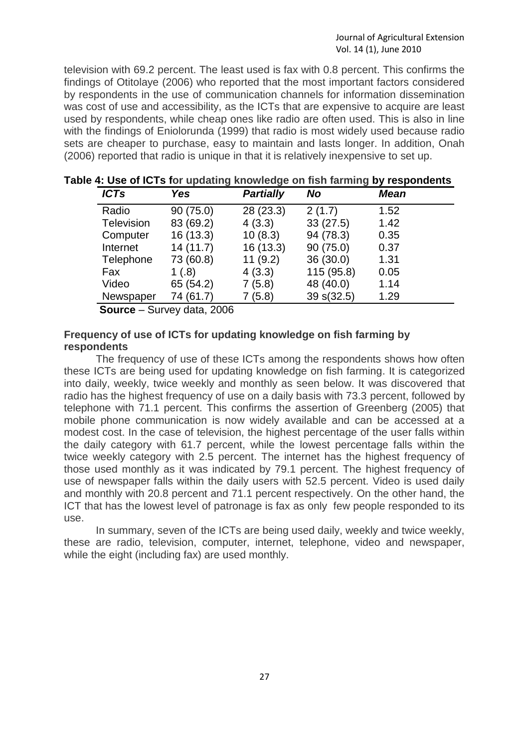television with 69.2 percent. The least used is fax with 0.8 percent. This confirms the findings of Otitolaye (2006) who reported that the most important factors considered by respondents in the use of communication channels for information dissemination was cost of use and accessibility, as the ICTs that are expensive to acquire are least used by respondents, while cheap ones like radio are often used. This is also in line with the findings of Eniolorunda (1999) that radio is most widely used because radio sets are cheaper to purchase, easy to maintain and lasts longer. In addition, Onah (2006) reported that radio is unique in that it is relatively inexpensive to set up.

| <b>ICTs</b> | <b>Yes</b> | <b>Partially</b> | <b>No</b>  | <b>Mean</b> |  |
|-------------|------------|------------------|------------|-------------|--|
| Radio       | 90(75.0)   | 28 (23.3)        | 2(1.7)     | 1.52        |  |
| Television  | 83 (69.2)  | 4(3.3)           | 33(27.5)   | 1.42        |  |
| Computer    | 16 (13.3)  | 10(8.3)          | 94 (78.3)  | 0.35        |  |
| Internet    | 14(11.7)   | 16(13.3)         | 90(75.0)   | 0.37        |  |
| Telephone   | 73 (60.8)  | 11(9.2)          | 36(30.0)   | 1.31        |  |
| Fax         | 1(.8)      | 4(3.3)           | 115 (95.8) | 0.05        |  |
| Video       | 65 (54.2)  | 7(5.8)           | 48 (40.0)  | 1.14        |  |
| Newspaper   | 74 (61.7)  | 7 (5.8)          | 39 s(32.5) | 1.29        |  |

| Table 4: Use of ICTs for updating knowledge on fish farming by respondents |  |  |  |  |  |  |  |
|----------------------------------------------------------------------------|--|--|--|--|--|--|--|
|----------------------------------------------------------------------------|--|--|--|--|--|--|--|

 **Source** – Survey data, 2006

# **Frequency of use of ICTs for updating knowledge on fish farming by respondents**

The frequency of use of these ICTs among the respondents shows how often these ICTs are being used for updating knowledge on fish farming. It is categorized into daily, weekly, twice weekly and monthly as seen below. It was discovered that radio has the highest frequency of use on a daily basis with 73.3 percent, followed by telephone with 71.1 percent. This confirms the assertion of Greenberg (2005) that mobile phone communication is now widely available and can be accessed at a modest cost. In the case of television, the highest percentage of the user falls within the daily category with 61.7 percent, while the lowest percentage falls within the twice weekly category with 2.5 percent. The internet has the highest frequency of those used monthly as it was indicated by 79.1 percent. The highest frequency of use of newspaper falls within the daily users with 52.5 percent. Video is used daily and monthly with 20.8 percent and 71.1 percent respectively. On the other hand, the ICT that has the lowest level of patronage is fax as only few people responded to its use.

In summary, seven of the ICTs are being used daily, weekly and twice weekly, these are radio, television, computer, internet, telephone, video and newspaper, while the eight (including fax) are used monthly.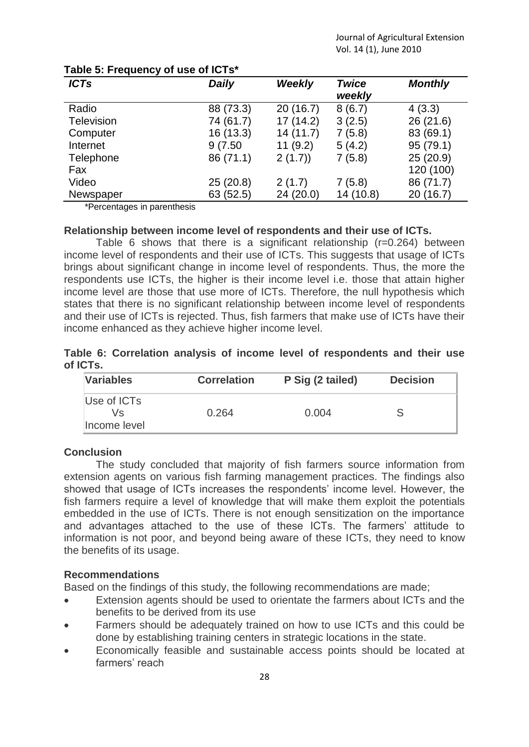| <b>ICTs</b>       | <b>Daily</b> | <b>Weekly</b> | <b>Twice</b><br>weekly | <b>Monthly</b> |
|-------------------|--------------|---------------|------------------------|----------------|
| Radio             | 88 (73.3)    | 20(16.7)      | 8(6.7)                 | 4(3.3)         |
| <b>Television</b> | 74 (61.7)    | 17 (14.2)     | 3(2.5)                 | 26 (21.6)      |
| Computer          | 16 (13.3)    | 14(11.7)      | 7(5.8)                 | 83 (69.1)      |
| Internet          | 9(7.50)      | 11(9.2)       | 5(4.2)                 | 95 (79.1)      |
| Telephone         | 86 (71.1)    | 2(1.7)        | 7(5.8)                 | 25(20.9)       |
| Fax               |              |               |                        | 120 (100)      |
| Video             | 25(20.8)     | 2(1.7)        | 7(5.8)                 | 86 (71.7)      |
| Newspaper         | 63 (52.5)    | 24 (20.0)     | 14 (10.8)              | 20(16.7)       |

# **Table 5: Frequency of use of ICTs\***

\*Percentages in parenthesis

# **Relationship between income level of respondents and their use of ICTs.**

Table 6 shows that there is a significant relationship (r=0.264) between income level of respondents and their use of ICTs. This suggests that usage of ICTs brings about significant change in income level of respondents. Thus, the more the respondents use ICTs, the higher is their income level i.e. those that attain higher income level are those that use more of ICTs. Therefore, the null hypothesis which states that there is no significant relationship between income level of respondents and their use of ICTs is rejected. Thus, fish farmers that make use of ICTs have their income enhanced as they achieve higher income level.

|          |  |  |  | Table 6: Correlation analysis of income level of respondents and their use |  |  |
|----------|--|--|--|----------------------------------------------------------------------------|--|--|
| of ICTs. |  |  |  |                                                                            |  |  |

| <b>Variables</b>                  | <b>Correlation</b> | P Sig (2 tailed) | <b>Decision</b> |
|-----------------------------------|--------------------|------------------|-----------------|
| Use of ICTs<br>Vs<br>Income level | 0.264              | 0.004            |                 |

# **Conclusion**

The study concluded that majority of fish farmers source information from extension agents on various fish farming management practices. The findings also showed that usage of ICTs increases the respondents' income level. However, the fish farmers require a level of knowledge that will make them exploit the potentials embedded in the use of ICTs. There is not enough sensitization on the importance and advantages attached to the use of these ICTs. The farmers' attitude to information is not poor, and beyond being aware of these ICTs, they need to know the benefits of its usage.

# **Recommendations**

Based on the findings of this study, the following recommendations are made;

- Extension agents should be used to orientate the farmers about ICTs and the benefits to be derived from its use
- Farmers should be adequately trained on how to use ICTs and this could be done by establishing training centers in strategic locations in the state.
- Economically feasible and sustainable access points should be located at farmers' reach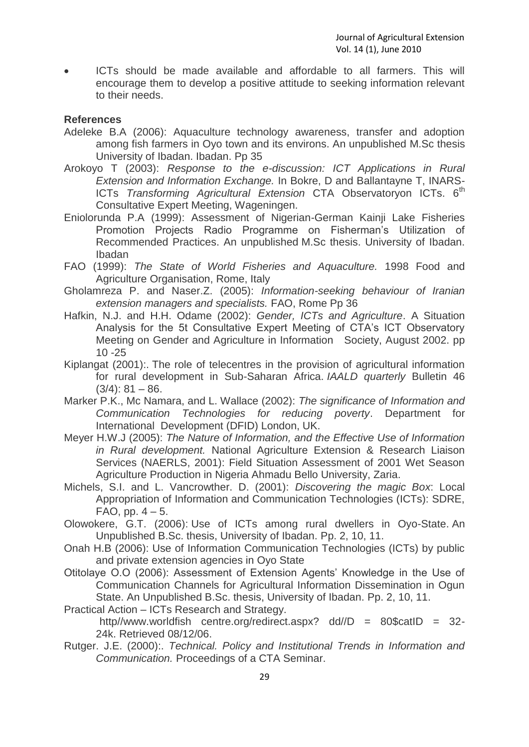ICTs should be made available and affordable to all farmers. This will encourage them to develop a positive attitude to seeking information relevant to their needs.

# **References**

- Adeleke B.A (2006): Aquaculture technology awareness, transfer and adoption among fish farmers in Oyo town and its environs. An unpublished M.Sc thesis University of Ibadan. Ibadan. Pp 35
- Arokoyo T (2003): *Response to the e-discussion: ICT Applications in Rural Extension and Information Exchange.* In Bokre, D and Ballantayne T, INARS-ICTs *Transforming Agricultural Extension* CTA Observatoryon ICTs. 6th Consultative Expert Meeting, Wageningen.
- Eniolorunda P.A (1999): Assessment of Nigerian-German Kainji Lake Fisheries Promotion Projects Radio Programme on Fisherman's Utilization of Recommended Practices. An unpublished M.Sc thesis. University of Ibadan. Ibadan
- FAO (1999): *The State of World Fisheries and Aquaculture.* 1998 Food and Agriculture Organisation, Rome, Italy
- Gholamreza P. and Naser.Z. (2005): *Information-seeking behaviour of Iranian extension managers and specialists.* FAO, Rome Pp 36
- Hafkin, N.J. and H.H. Odame (2002): *Gender, ICTs and Agriculture*. A Situation Analysis for the 5t Consultative Expert Meeting of CTA's ICT Observatory Meeting on Gender and Agriculture in Information Society, August 2002. pp 10 -25
- Kiplangat (2001):. The role of telecentres in the provision of agricultural information for rural development in Sub-Saharan Africa. *IAALD quarterly* Bulletin 46  $(3/4): 81 - 86.$
- Marker P.K., Mc Namara, and L. Wallace (2002): *The significance of Information and Communication Technologies for reducing poverty*. Department for International Development (DFID) London, UK.
- Meyer H.W.J (2005): *The Nature of Information, and the Effective Use of Information in Rural development.* National Agriculture Extension & Research Liaison Services (NAERLS, 2001): Field Situation Assessment of 2001 Wet Season Agriculture Production in Nigeria Ahmadu Bello University, Zaria.
- Michels, S.I. and L. Vancrowther. D. (2001): *Discovering the magic Box*: Local Appropriation of Information and Communication Technologies (ICTs): SDRE,  $FAO, pp. 4-5.$
- Olowokere, G.T. (2006): Use of ICTs among rural dwellers in Oyo-State. An Unpublished B.Sc. thesis, University of Ibadan. Pp. 2, 10, 11.
- Onah H.B (2006): Use of Information Communication Technologies (ICTs) by public and private extension agencies in Oyo State
- Otitolaye O.O (2006): Assessment of Extension Agents' Knowledge in the Use of Communication Channels for Agricultural Information Dissemination in Ogun State. An Unpublished B.Sc. thesis, University of Ibadan. Pp. 2, 10, 11.
- Practical Action ICTs Research and Strategy. http//www.worldfish centre.org/redirect.aspx? dd//D = 80\$catID = 32-24k. Retrieved 08/12/06.
- Rutger. J.E. (2000):. *Technical. Policy and Institutional Trends in Information and Communication.* Proceedings of a CTA Seminar.